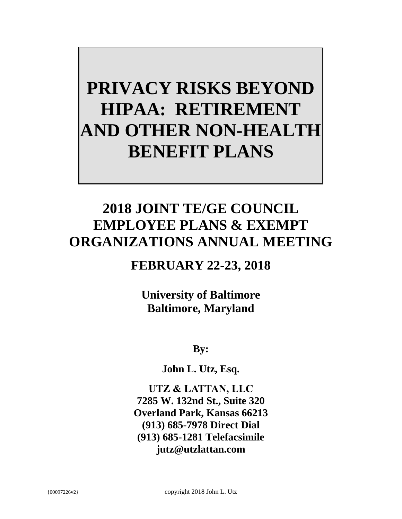# **PRIVACY RISKS BEYOND HIPAA: RETIREMENT AND OTHER NON-HEALTH BENEFIT PLANS**

## **2018 JOINT TE/GE COUNCIL EMPLOYEE PLANS & EXEMPT ORGANIZATIONS ANNUAL MEETING**

### **FEBRUARY 22-23, 2018**

**University of Baltimore Baltimore, Maryland**

**By:**

**John L. Utz, Esq.**

**UTZ & LATTAN, LLC 7285 W. 132nd St., Suite 320 Overland Park, Kansas 66213 (913) 685-7978 Direct Dial (913) 685-1281 Telefacsimile jutz@utzlattan.com**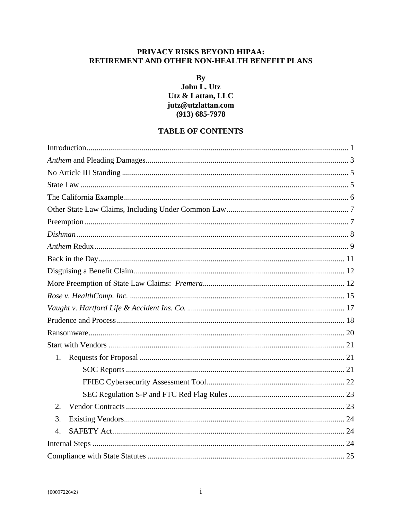#### PRIVACY RISKS BEYOND HIPAA: RETIREMENT AND OTHER NON-HEALTH BENEFIT PLANS

By

#### John L. Utz Utz & Lattan, LLC jutz@utzlattan.com  $(913) 685 - 7978$

#### **TABLE OF CONTENTS**

| 1.               |  |
|------------------|--|
|                  |  |
|                  |  |
|                  |  |
|                  |  |
| 2.               |  |
| 3.               |  |
| $\overline{4}$ . |  |
|                  |  |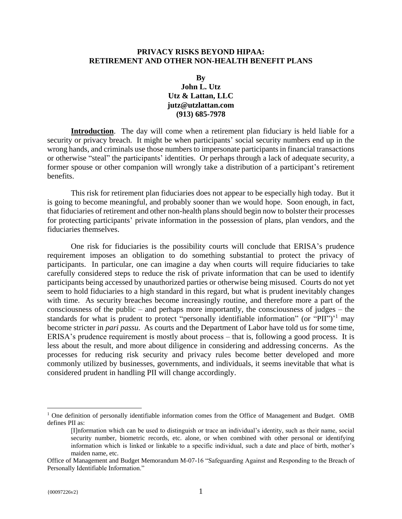#### **PRIVACY RISKS BEYOND HIPAA: RETIREMENT AND OTHER NON-HEALTH BENEFIT PLANS**

#### **By John L. Utz Utz & Lattan, LLC [jutz@utzlattan.com](mailto:jutz@utzlattan.com) (913) 685-7978**

<span id="page-3-0"></span>**Introduction**. The day will come when a retirement plan fiduciary is held liable for a security or privacy breach. It might be when participants' social security numbers end up in the wrong hands, and criminals use those numbers to impersonate participants in financial transactions or otherwise "steal" the participants' identities. Or perhaps through a lack of adequate security, a former spouse or other companion will wrongly take a distribution of a participant's retirement benefits.

This risk for retirement plan fiduciaries does not appear to be especially high today. But it is going to become meaningful, and probably sooner than we would hope. Soon enough, in fact, that fiduciaries of retirement and other non-health plans should begin now to bolster their processes for protecting participants' private information in the possession of plans, plan vendors, and the fiduciaries themselves.

One risk for fiduciaries is the possibility courts will conclude that ERISA's prudence requirement imposes an obligation to do something substantial to protect the privacy of participants. In particular, one can imagine a day when courts will require fiduciaries to take carefully considered steps to reduce the risk of private information that can be used to identify participants being accessed by unauthorized parties or otherwise being misused. Courts do not yet seem to hold fiduciaries to a high standard in this regard, but what is prudent inevitably changes with time. As security breaches become increasingly routine, and therefore more a part of the consciousness of the public – and perhaps more importantly, the consciousness of judges – the standards for what is prudent to protect "personally identifiable information" (or "PII")<sup> $1$ </sup> may become stricter in *pari passu*. As courts and the Department of Labor have told us for some time, ERISA's prudence requirement is mostly about process – that is, following a good process. It is less about the result, and more about diligence in considering and addressing concerns. As the processes for reducing risk security and privacy rules become better developed and more commonly utilized by businesses, governments, and individuals, it seems inevitable that what is considered prudent in handling PII will change accordingly.

 $<sup>1</sup>$  One definition of personally identifiable information comes from the Office of Management and Budget. OMB</sup> defines PII as:

<sup>[</sup>I]nformation which can be used to distinguish or trace an individual's identity, such as their name, social security number, biometric records, etc. alone, or when combined with other personal or identifying information which is linked or linkable to a specific individual, such a date and place of birth, mother's maiden name, etc.

Office of Management and Budget Memorandum M-07-16 "Safeguarding Against and Responding to the Breach of Personally Identifiable Information."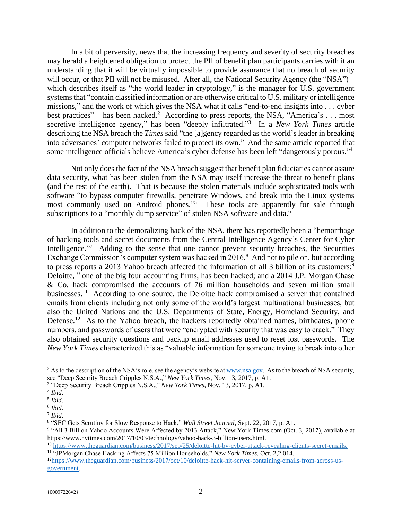In a bit of perversity, news that the increasing frequency and severity of security breaches may herald a heightened obligation to protect the PII of benefit plan participants carries with it an understanding that it will be virtually impossible to provide assurance that no breach of security will occur, or that PII will not be misused. After all, the National Security Agency (the "NSA") – which describes itself as "the world leader in cryptology," is the manager for U.S. government systems that "contain classified information or are otherwise critical to U.S. military or intelligence missions," and the work of which gives the NSA what it calls "end-to-end insights into . . . cyber best practices" – has been hacked.<sup>2</sup> According to press reports, the NSA, "America's ... most secretive intelligence agency," has been "deeply infiltrated." 3 In a *New York Times* article describing the NSA breach the *Times* said "the [a]gency regarded as the world's leader in breaking into adversaries' computer networks failed to protect its own." And the same article reported that some intelligence officials believe America's cyber defense has been left "dangerously porous."<sup>4</sup>

Not only does the fact of the NSA breach suggest that benefit plan fiduciaries cannot assure data security, what has been stolen from the NSA may itself increase the threat to benefit plans (and the rest of the earth). That is because the stolen materials include sophisticated tools with software "to bypass computer firewalls, penetrate Windows, and break into the Linux systems most commonly used on Android phones."<sup>5</sup> These tools are apparently for sale through subscriptions to a "monthly dump service" of stolen NSA software and data.<sup>6</sup>

In addition to the demoralizing hack of the NSA, there has reportedly been a "hemorrhage of hacking tools and secret documents from the Central Intelligence Agency's Center for Cyber Intelligence."<sup>7</sup> Adding to the sense that one cannot prevent security breaches, the Securities Exchange Commission's computer system was hacked in 2016.<sup>8</sup> And not to pile on, but according to press reports a 2013 Yahoo breach affected the information of all 3 billion of its customers;<sup>9</sup> Deloitte,  $^{10}$  one of the big four accounting firms, has been hacked; and a 2014 J.P. Morgan Chase & Co. hack compromised the accounts of 76 million households and seven million small businesses.<sup>11</sup> According to one source, the Deloitte hack compromised a server that contained emails from clients including not only some of the world's largest multinational businesses, but also the United Nations and the U.S. Departments of State, Energy, Homeland Security, and Defense.<sup>12</sup> As to the Yahoo breach, the hackers reportedly obtained names, birthdates, phone numbers, and passwords of users that were "encrypted with security that was easy to crack." They also obtained security questions and backup email addresses used to reset lost passwords. The *New York Times* characterized this as "valuable information for someone trying to break into other

<sup>&</sup>lt;sup>2</sup> As to the description of the NSA's role, see the agency's website at [www.nsa.gov.](http://www.nsa.gov/) As to the breach of NSA security, see "Deep Security Breach Cripples N.S.A.," *New York Times*, Nov. 13, 2017, p. A1.

<sup>3</sup> "Deep Security Breach Cripples N.S.A.," *New York Times*, Nov. 13, 2017, p. A1.

<sup>4</sup> *Ibid*.

<sup>5</sup> *Ibid*.

<sup>6</sup> *Ibid*.

<sup>7</sup> *Ibid*.

<sup>8</sup> "SEC Gets Scrutiny for Slow Response to Hack," *Wall Street Journal*, Sept. 22, 2017, p. A1.

<sup>&</sup>lt;sup>9</sup> "All 3 Billion Yahoo Accounts Were Affected by 2013 Attack," New York Times.com (Oct. 3, 2017), available at <https://www.nytimes.com/2017/10/03/technology/yahoo-hack-3-billion-users.html>.

<sup>10</sup> [https://www.theguardian.com/business/2017/sep/25/deloitte-hit-by-cyber-attack-revealing-clients-secret-emails,](https://www.theguardian.com/business/2017/sep/25/deloitte-hit-by-cyber-attack-revealing-clients-secret-emails) <sup>11</sup> "JPMorgan Chase Hacking Affects 75 Million Households," *New York Times*, Oct. 2,2 014.

<sup>12</sup>[https://www.theguardian.com/business/2017/oct/10/deloitte-hack-hit-server-containing-emails-from-across-us](https://www.theguardian.com/business/2017/oct/10/deloitte-hack-hit-server-containing-emails-from-across-us-government)[government.](https://www.theguardian.com/business/2017/oct/10/deloitte-hack-hit-server-containing-emails-from-across-us-government)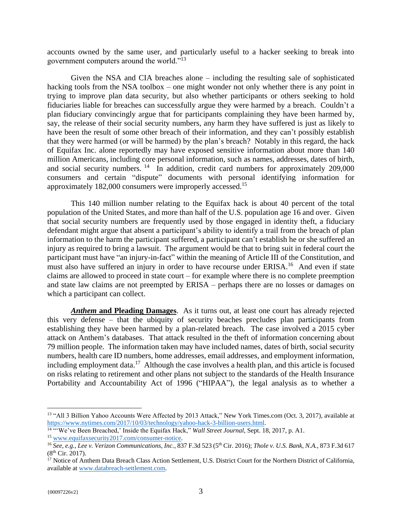accounts owned by the same user, and particularly useful to a hacker seeking to break into government computers around the world."<sup>13</sup>

Given the NSA and CIA breaches alone – including the resulting sale of sophisticated hacking tools from the NSA toolbox – one might wonder not only whether there is any point in trying to improve plan data security, but also whether participants or others seeking to hold fiduciaries liable for breaches can successfully argue they were harmed by a breach. Couldn't a plan fiduciary convincingly argue that for participants complaining they have been harmed by, say, the release of their social security numbers, any harm they have suffered is just as likely to have been the result of some other breach of their information, and they can't possibly establish that they were harmed (or will be harmed) by the plan's breach? Notably in this regard, the hack of Equifax Inc. alone reportedly may have exposed sensitive information about more than 140 million Americans, including core personal information, such as names, addresses, dates of birth, and social security numbers.  $14$  In addition, credit card numbers for approximately 209,000 consumers and certain "dispute" documents with personal identifying information for approximately 182,000 consumers were improperly accessed.<sup>15</sup>

This 140 million number relating to the Equifax hack is about 40 percent of the total population of the United States, and more than half of the U.S. population age 16 and over. Given that social security numbers are frequently used by those engaged in identity theft, a fiduciary defendant might argue that absent a participant's ability to identify a trail from the breach of plan information to the harm the participant suffered, a participant can't establish he or she suffered an injury as required to bring a lawsuit. The argument would be that to bring suit in federal court the participant must have "an injury-in-fact" within the meaning of Article III of the Constitution, and must also have suffered an injury in order to have recourse under ERISA.<sup>16</sup> And even if state claims are allowed to proceed in state court – for example where there is no complete preemption and state law claims are not preempted by ERISA – perhaps there are no losses or damages on which a participant can collect.

<span id="page-5-0"></span>*Anthem* **and Pleading Damages**. As it turns out, at least one court has already rejected this very defense – that the ubiquity of security beaches precludes plan participants from establishing they have been harmed by a plan-related breach. The case involved a 2015 cyber attack on Anthem's databases. That attack resulted in the theft of information concerning about 79 million people. The information taken may have included names, dates of birth, social security numbers, health care ID numbers, home addresses, email addresses, and employment information, including employment data.<sup>17</sup> Although the case involves a health plan, and this article is focused on risks relating to retirement and other plans not subject to the standards of the Health Insurance Portability and Accountability Act of 1996 ("HIPAA"), the legal analysis as to whether a

<sup>&</sup>lt;sup>13</sup> "All 3 Billion Yahoo Accounts Were Affected by 2013 Attack," New York Times.com (Oct. 3, 2017), available at <https://www.nytimes.com/2017/10/03/technology/yahoo-hack-3-billion-users.html>.

<sup>&</sup>lt;sup>14 ""</sup>We've Been Breached,' Inside the Equifax Hack," *Wall Street Journal*, Sept. 18, 2017, p. A1. <sup>15</sup> [www.equifaxsecurity2017.com/consumer-notice.](http://www.equifaxsecurity2017.com/consumer-notice)

<sup>16</sup> *See, e.g., Lee v. Verizon Communications, Inc.*, 837 F.3d 523 (5th Cir. 2016); *Thole v. U.S. Bank, N.A.*, 873 F.3d 617  $(8<sup>th</sup> Cir. 2017).$ 

<sup>&</sup>lt;sup>17</sup> Notice of Anthem Data Breach Class Action Settlement, U.S. District Court for the Northern District of California, available at [www.databreach-settlement.com.](http://www.databreach-settlement.com/)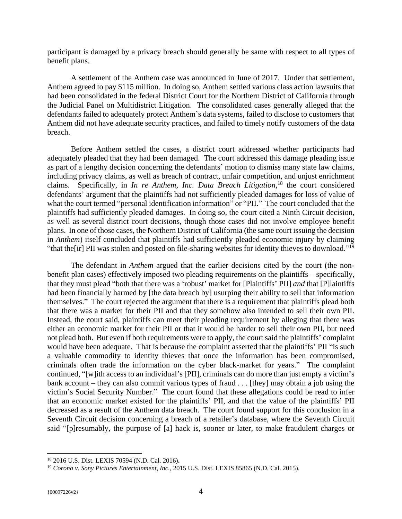participant is damaged by a privacy breach should generally be same with respect to all types of benefit plans.

A settlement of the Anthem case was announced in June of 2017. Under that settlement, Anthem agreed to pay \$115 million. In doing so, Anthem settled various class action lawsuits that had been consolidated in the federal District Court for the Northern District of California through the Judicial Panel on Multidistrict Litigation. The consolidated cases generally alleged that the defendants failed to adequately protect Anthem's data systems, failed to disclose to customers that Anthem did not have adequate security practices, and failed to timely notify customers of the data breach.

Before Anthem settled the cases, a district court addressed whether participants had adequately pleaded that they had been damaged. The court addressed this damage pleading issue as part of a lengthy decision concerning the defendants' motion to dismiss many state law claims, including privacy claims, as well as breach of contract, unfair competition, and unjust enrichment claims. Specifically, in *In re Anthem, Inc. Data Breach Litigation,* <sup>18</sup> the court considered defendants' argument that the plaintiffs had not sufficiently pleaded damages for loss of value of what the court termed "personal identification information" or "PII." The court concluded that the plaintiffs had sufficiently pleaded damages. In doing so, the court cited a Ninth Circuit decision, as well as several district court decisions, though those cases did not involve employee benefit plans. In one of those cases, the Northern District of California (the same court issuing the decision in *Anthem*) itself concluded that plaintiffs had sufficiently pleaded economic injury by claiming "that the [ir] PII was stolen and posted on file-sharing websites for identity thieves to download."<sup>19</sup>

The defendant in *Anthem* argued that the earlier decisions cited by the court (the nonbenefit plan cases) effectively imposed two pleading requirements on the plaintiffs – specifically, that they must plead "both that there was a 'robust' market for [Plaintiffs' PII] *and* that [P]laintiffs had been financially harmed by [the data breach by] usurping their ability to sell that information themselves." The court rejected the argument that there is a requirement that plaintiffs plead both that there was a market for their PII and that they somehow also intended to sell their own PII. Instead, the court said, plaintiffs can meet their pleading requirement by alleging that there was either an economic market for their PII or that it would be harder to sell their own PII, but need not plead both. But even if both requirements were to apply, the court said the plaintiffs' complaint would have been adequate. That is because the complaint asserted that the plaintiffs' PII "is such a valuable commodity to identity thieves that once the information has been compromised, criminals often trade the information on the cyber black-market for years." The complaint continued, "[w]ith access to an individual's [PII], criminals can do more than just empty a victim's bank account – they can also commit various types of fraud . . . [they] may obtain a job using the victim's Social Security Number." The court found that these allegations could be read to infer that an economic market existed for the plaintiffs' PII, and that the value of the plaintiffs' PII decreased as a result of the Anthem data breach. The court found support for this conclusion in a Seventh Circuit decision concerning a breach of a retailer's database, where the Seventh Circuit said "[p]resumably, the purpose of [a] hack is, sooner or later, to make fraudulent charges or

<sup>18</sup> 2016 U.S. Dist. LEXIS 70594 (N.D. Cal. 2016)**.**

<sup>19</sup> *Corona v. Sony Pictures Entertainment, Inc.*, 2015 U.S. Dist. LEXIS 85865 (N.D. Cal. 2015).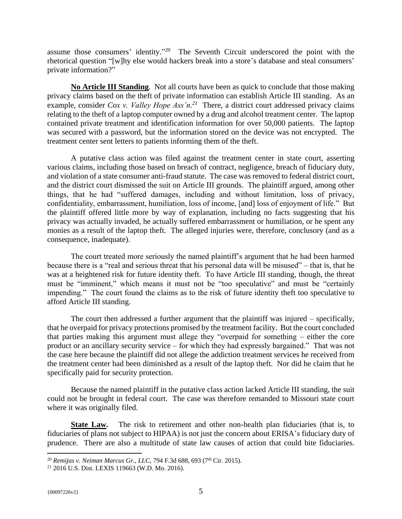assume those consumers' identity."<sup>20</sup> The Seventh Circuit underscored the point with the rhetorical question "[w]hy else would hackers break into a store's database and steal consumers' private information?"

<span id="page-7-0"></span>**No Article III Standing**. Not all courts have been as quick to conclude that those making privacy claims based on the theft of private information can establish Article III standing. As an example, consider *Cox v. Valley Hope Ass'n*.<sup>21</sup> There, a district court addressed privacy claims relating to the theft of a laptop computer owned by a drug and alcohol treatment center. The laptop contained private treatment and identification information for over 50,000 patients. The laptop was secured with a password, but the information stored on the device was not encrypted. The treatment center sent letters to patients informing them of the theft.

A putative class action was filed against the treatment center in state court, asserting various claims, including those based on breach of contract, negligence, breach of fiduciary duty, and violation of a state consumer anti-fraud statute. The case was removed to federal district court, and the district court dismissed the suit on Article III grounds. The plaintiff argued, among other things, that he had "suffered damages, including and without limitation, loss of privacy, confidentiality, embarrassment, humiliation, loss of income, [and] loss of enjoyment of life." But the plaintiff offered little more by way of explanation, including no facts suggesting that his privacy was actually invaded, he actually suffered embarrassment or humiliation, or he spent any monies as a result of the laptop theft. The alleged injuries were, therefore, conclusory (and as a consequence, inadequate).

The court treated more seriously the named plaintiff's argument that he had been harmed because there is a "real and serious threat that his personal data will be misused" – that is, that he was at a heightened risk for future identity theft. To have Article III standing, though, the threat must be "imminent," which means it must not be "too speculative" and must be "certainly impending." The court found the claims as to the risk of future identity theft too speculative to afford Article III standing.

The court then addressed a further argument that the plaintiff was injured – specifically, that he overpaid for privacy protections promised by the treatment facility. But the court concluded that parties making this argument must allege they "overpaid for something – either the core product or an ancillary security service – for which they had expressly bargained." That was not the case here because the plaintiff did not allege the addiction treatment services he received from the treatment center had been diminished as a result of the laptop theft. Nor did he claim that he specifically paid for security protection.

Because the named plaintiff in the putative class action lacked Article III standing, the suit could not be brought in federal court. The case was therefore remanded to Missouri state court where it was originally filed.

<span id="page-7-1"></span>**State Law.** The risk to retirement and other non-health plan fiduciaries (that is, to fiduciaries of plans not subject to HIPAA) is not just the concern about ERISA's fiduciary duty of prudence. There are also a multitude of state law causes of action that could bite fiduciaries.

<sup>&</sup>lt;sup>20</sup> *Remijas v. Neiman Marcus Gr., LLC*, 794 F.3d 688, 693 (7<sup>th</sup> Cir. 2015).

<sup>21</sup> 2016 U.S. Dist. LEXIS 119663 (W.D. Mo. 2016).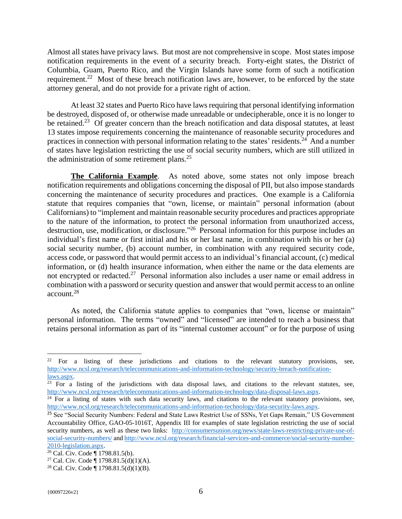Almost all states have privacy laws. But most are not comprehensive in scope. Most states impose notification requirements in the event of a security breach. Forty-eight states, the District of Columbia, Guam, Puerto Rico, and the Virgin Islands have some form of such a notification requirement.<sup>22</sup> Most of these breach notification laws are, however, to be enforced by the state attorney general, and do not provide for a private right of action.

At least 32 states and Puerto Rico have laws requiring that personal identifying information be destroyed, disposed of, or otherwise made unreadable or undecipherable, once it is no longer to be retained.<sup>23</sup> Of greater concern than the breach notification and data disposal statutes, at least 13 states impose requirements concerning the maintenance of reasonable security procedures and practices in connection with personal information relating to the states' residents.<sup>24</sup> And a number of states have legislation restricting the use of social security numbers, which are still utilized in the administration of some retirement plans.<sup>25</sup>

<span id="page-8-0"></span>**The California Example**. As noted above, some states not only impose breach notification requirements and obligations concerning the disposal of PII, but also impose standards concerning the maintenance of security procedures and practices. One example is a California statute that requires companies that "own, license, or maintain" personal information (about Californians) to "implement and maintain reasonable security procedures and practices appropriate to the nature of the information, to protect the personal information from unauthorized access, destruction, use, modification, or disclosure.<sup>"26</sup> Personal information for this purpose includes an individual's first name or first initial and his or her last name, in combination with his or her (a) social security number, (b) account number, in combination with any required security code, access code, or password that would permit access to an individual's financial account, (c) medical information, or (d) health insurance information, when either the name or the data elements are not encrypted or redacted.<sup>27</sup> Personal information also includes a user name or email address in combination with a password or security question and answer that would permit access to an online account.<sup>28</sup>

As noted, the California statute applies to companies that "own, license or maintain" personal information. The terms "owned" and "licensed" are intended to reach a business that retains personal information as part of its "internal customer account" or for the purpose of using

<sup>&</sup>lt;sup>22</sup> For a listing of these jurisdictions and citations to the relevant statutory provisions, see, [http://www.ncsl.org/research/telecommunications-and-information-technology/security-breach-notification](http://www.ncsl.org/research/telecommunications-and-information-technology/security-breach-notification-laws.aspx)[laws.aspx](http://www.ncsl.org/research/telecommunications-and-information-technology/security-breach-notification-laws.aspx).

 $\overline{23}$  For a listing of the jurisdictions with data disposal laws, and citations to the relevant statutes, see, <http://www.ncsl.org/research/telecommunications-and-information-technology/data-disposal-laws.aspx>.

 $24$  For a listing of states with such data security laws, and citations to the relevant statutory provisions, see, <http://www.ncsl.org/research/telecommunications-and-information-technology/data-security-laws.aspx>.

<sup>&</sup>lt;sup>25</sup> See "Social Security Numbers: Federal and State Laws Restrict Use of SSNs, Yet Gaps Remain," US Government Accountability Office, GAO-05-1016T, Appendix III for examples of state legislation restricting the use of social security numbers, as well as these two links: [http://consumersunion.org/news/state-laws-restricting-private-use-of](http://consumersunion.org/news/state-laws-restricting-private-use-of-social-security-numbers/)[social-security-numbers/](http://consumersunion.org/news/state-laws-restricting-private-use-of-social-security-numbers/) an[d http://www.ncsl.org/research/financial-services-and-commerce/social-security-number-](http://www.ncsl.org/research/financial-services-and-commerce/social-security-number-2010-legislation.aspx)[2010-legislation.aspx.](http://www.ncsl.org/research/financial-services-and-commerce/social-security-number-2010-legislation.aspx)

 $26$  Cal. Civ. Code | 1798.81.5(b).

<sup>&</sup>lt;sup>27</sup> Cal. Civ. Code  $\P$  1798.81.5(d)(1)(A).

<sup>28</sup> Cal. Civ. Code ¶ 1798.81.5(d)(1)(B).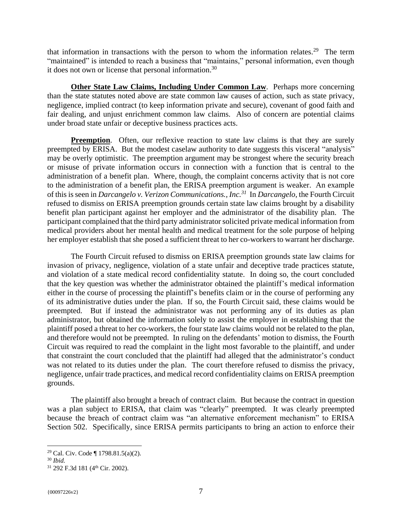that information in transactions with the person to whom the information relates.<sup>29</sup> The term "maintained" is intended to reach a business that "maintains," personal information, even though it does not own or license that personal information.<sup>30</sup>

<span id="page-9-0"></span>**Other State Law Claims, Including Under Common Law**. Perhaps more concerning than the state statutes noted above are state common law causes of action, such as state privacy, negligence, implied contract (to keep information private and secure), covenant of good faith and fair dealing, and unjust enrichment common law claims. Also of concern are potential claims under broad state unfair or deceptive business practices acts.

<span id="page-9-1"></span>**Preemption.** Often, our reflexive reaction to state law claims is that they are surely preempted by ERISA. But the modest caselaw authority to date suggests this visceral "analysis" may be overly optimistic. The preemption argument may be strongest where the security breach or misuse of private information occurs in connection with a function that is central to the administration of a benefit plan. Where, though, the complaint concerns activity that is not core to the administration of a benefit plan, the ERISA preemption argument is weaker. An example of this is seen in *Darcangelo v. Verizon Communications., Inc.<sup>31</sup>* In *Darcangelo*, the Fourth Circuit refused to dismiss on ERISA preemption grounds certain state law claims brought by a disability benefit plan participant against her employer and the administrator of the disability plan. The participant complained that the third party administrator solicited private medical information from medical providers about her mental health and medical treatment for the sole purpose of helping her employer establish that she posed a sufficient threat to her co-workers to warrant her discharge.

The Fourth Circuit refused to dismiss on ERISA preemption grounds state law claims for invasion of privacy, negligence, violation of a state unfair and deceptive trade practices statute, and violation of a state medical record confidentiality statute. In doing so, the court concluded that the key question was whether the administrator obtained the plaintiff's medical information either in the course of processing the plaintiff's benefits claim or in the course of performing any of its administrative duties under the plan. If so, the Fourth Circuit said, these claims would be preempted. But if instead the administrator was not performing any of its duties as plan administrator, but obtained the information solely to assist the employer in establishing that the plaintiff posed a threat to her co-workers, the four state law claims would not be related to the plan, and therefore would not be preempted. In ruling on the defendants' motion to dismiss, the Fourth Circuit was required to read the complaint in the light most favorable to the plaintiff, and under that constraint the court concluded that the plaintiff had alleged that the administrator's conduct was not related to its duties under the plan. The court therefore refused to dismiss the privacy, negligence, unfair trade practices, and medical record confidentiality claims on ERISA preemption grounds.

The plaintiff also brought a breach of contract claim. But because the contract in question was a plan subject to ERISA, that claim was "clearly" preempted. It was clearly preempted because the breach of contract claim was "an alternative enforcement mechanism" to ERISA Section 502. Specifically, since ERISA permits participants to bring an action to enforce their

<sup>29</sup> Cal. Civ. Code ¶ 1798.81.5(a)(2).

<sup>30</sup> *Ibid.*

<sup>&</sup>lt;sup>31</sup> 292 F.3d 181 (4<sup>th</sup> Cir. 2002).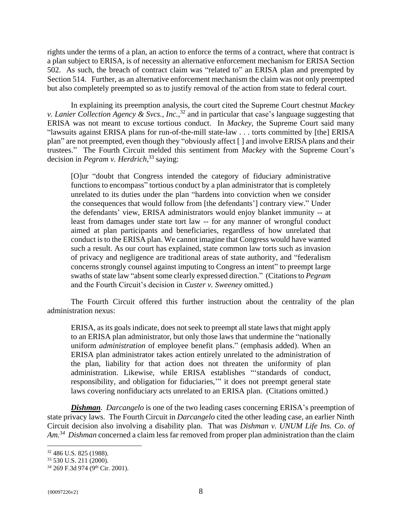rights under the terms of a plan, an action to enforce the terms of a contract, where that contract is a plan subject to ERISA, is of necessity an alternative enforcement mechanism for ERISA Section 502. As such, the breach of contract claim was "related to" an ERISA plan and preempted by Section 514. Further, as an alternative enforcement mechanism the claim was not only preempted but also completely preempted so as to justify removal of the action from state to federal court.

In explaining its preemption analysis, the court cited the Supreme Court chestnut *Mackey v. Lanier Collection Agency & Svcs., Inc.*, <sup>32</sup> and in particular that case's language suggesting that ERISA was not meant to excuse tortious conduct. In *Mackey*, the Supreme Court said many "lawsuits against ERISA plans for run-of-the-mill state-law . . . torts committed by [the] ERISA plan" are not preempted, even though they "obviously affect [ ] and involve ERISA plans and their trustees." The Fourth Circuit melded this sentiment from *Mackey* with the Supreme Court's decision in *Pegram v. Herdrich*, <sup>33</sup> saying:

[O]ur "doubt that Congress intended the category of fiduciary administrative functions to encompass" tortious conduct by a plan administrator that is completely unrelated to its duties under the plan "hardens into conviction when we consider the consequences that would follow from [the defendants'] contrary view." Under the defendants' view, ERISA administrators would enjoy blanket immunity -- at least from damages under state tort law -- for any manner of wrongful conduct aimed at plan participants and beneficiaries, regardless of how unrelated that conduct is to the ERISA plan. We cannot imagine that Congress would have wanted such a result. As our court has explained, state common law torts such as invasion of privacy and negligence are traditional areas of state authority, and "federalism concerns strongly counsel against imputing to Congress an intent" to preempt large swaths of state law "absent some clearly expressed direction." (Citations to *Pegram* and the Fourth Circuit's decision in *Custer v. Sweeney* omitted.)

The Fourth Circuit offered this further instruction about the centrality of the plan administration nexus:

ERISA, as its goals indicate, does not seek to preempt all state laws that might apply to an ERISA plan administrator, but only those laws that undermine the "nationally uniform *administration* of employee benefit plans." (emphasis added). When an ERISA plan administrator takes action entirely unrelated to the administration of the plan, liability for that action does not threaten the uniformity of plan administration. Likewise, while ERISA establishes "'standards of conduct, responsibility, and obligation for fiduciaries,'" it does not preempt general state laws covering nonfiduciary acts unrelated to an ERISA plan. (Citations omitted.)

<span id="page-10-0"></span>*Dishman*. *Darcangelo* is one of the two leading cases concerning ERISA's preemption of state privacy laws. The Fourth Circuit in *Darcangelo* cited the other leading case, an earlier Ninth Circuit decision also involving a disability plan. That was *Dishman v. UNUM Life Ins. Co. of Am.<sup>34</sup> Dishman* concerned a claim less far removed from proper plan administration than the claim

<sup>32</sup> 486 U.S. 825 (1988).

<sup>33</sup> 530 U.S. 211 (2000).

<sup>&</sup>lt;sup>34</sup> 269 F.3d 974 (9<sup>th</sup> Cir. 2001).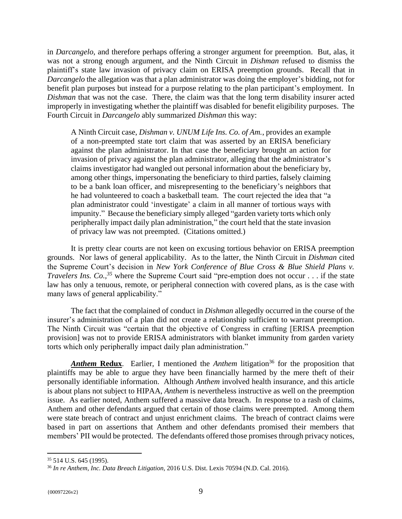in *Darcangelo*, and therefore perhaps offering a stronger argument for preemption. But, alas, it was not a strong enough argument, and the Ninth Circuit in *Dishman* refused to dismiss the plaintiff's state law invasion of privacy claim on ERISA preemption grounds. Recall that in *Darcangelo* the allegation was that a plan administrator was doing the employer's bidding, not for benefit plan purposes but instead for a purpose relating to the plan participant's employment. In *Dishman* that was not the case. There, the claim was that the long term disability insurer acted improperly in investigating whether the plaintiff was disabled for benefit eligibility purposes. The Fourth Circuit in *Darcangelo* ably summarized *Dishman* this way:

A Ninth Circuit case, *Dishman v. UNUM Life Ins. Co. of Am.*, provides an example of a non-preempted state tort claim that was asserted by an ERISA beneficiary against the plan administrator. In that case the beneficiary brought an action for invasion of privacy against the plan administrator, alleging that the administrator's claims investigator had wangled out personal information about the beneficiary by, among other things, impersonating the beneficiary to third parties, falsely claiming to be a bank loan officer, and misrepresenting to the beneficiary's neighbors that he had volunteered to coach a basketball team. The court rejected the idea that "a plan administrator could 'investigate' a claim in all manner of tortious ways with impunity." Because the beneficiary simply alleged "garden variety torts which only peripherally impact daily plan administration," the court held that the state invasion of privacy law was not preempted. (Citations omitted.)

It is pretty clear courts are not keen on excusing tortious behavior on ERISA preemption grounds. Nor laws of general applicability. As to the latter, the Ninth Circuit in *Dishman* cited the Supreme Court's decision in *New York Conference of Blue Cross & Blue Shield Plans v. Travelers Ins. Co., <sup>35</sup>* where the Supreme Court said "pre-emption does not occur . . . if the state law has only a tenuous, remote, or peripheral connection with covered plans, as is the case with many laws of general applicability."

The fact that the complained of conduct in *Dishman* allegedly occurred in the course of the insurer's administration of a plan did not create a relationship sufficient to warrant preemption. The Ninth Circuit was "certain that the objective of Congress in crafting [ERISA preemption provision] was not to provide ERISA administrators with blanket immunity from garden variety torts which only peripherally impact daily plan administration."

<span id="page-11-0"></span>*Anthem* **Redux**. Earlier, I mentioned the *Anthem* litigation<sup>36</sup> for the proposition that plaintiffs may be able to argue they have been financially harmed by the mere theft of their personally identifiable information. Although *Anthem* involved health insurance, and this article is about plans not subject to HIPAA, *Anthem* is nevertheless instructive as well on the preemption issue. As earlier noted, Anthem suffered a massive data breach. In response to a rash of claims, Anthem and other defendants argued that certain of those claims were preempted. Among them were state breach of contract and unjust enrichment claims. The breach of contract claims were based in part on assertions that Anthem and other defendants promised their members that members' PII would be protected. The defendants offered those promises through privacy notices,

<sup>35</sup> 514 U.S. 645 (1995).

<sup>36</sup> *In re Anthem, Inc. Data Breach Litigation*, 2016 U.S. Dist. Lexis 70594 (N.D. Cal. 2016).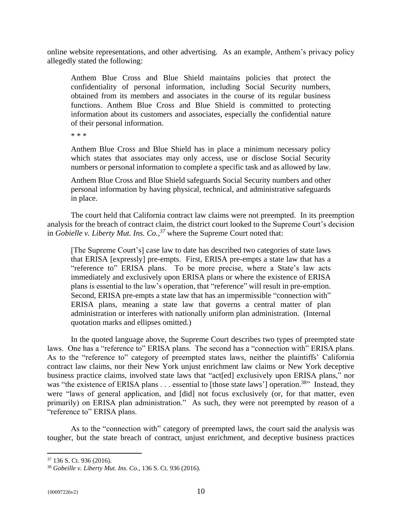online website representations, and other advertising. As an example, Anthem's privacy policy allegedly stated the following:

Anthem Blue Cross and Blue Shield maintains policies that protect the confidentiality of personal information, including Social Security numbers, obtained from its members and associates in the course of its regular business functions. Anthem Blue Cross and Blue Shield is committed to protecting information about its customers and associates, especially the confidential nature of their personal information.

\* \* \*

Anthem Blue Cross and Blue Shield has in place a minimum necessary policy which states that associates may only access, use or disclose Social Security numbers or personal information to complete a specific task and as allowed by law.

Anthem Blue Cross and Blue Shield safeguards Social Security numbers and other personal information by having physical, technical, and administrative safeguards in place.

The court held that California contract law claims were not preempted. In its preemption analysis for the breach of contract claim, the district court looked to the Supreme Court's decision in *Gobielle v. Liberty Mut. Ins. Co.,<sup>37</sup>* where the Supreme Court noted that:

[The Supreme Court's] case law to date has described two categories of state laws that ERISA [expressly] pre-empts. First, ERISA pre-empts a state law that has a "reference to" ERISA plans. To be more precise, where a State's law acts immediately and exclusively upon ERISA plans or where the existence of ERISA plans is essential to the law's operation, that "reference" will result in pre-emption. Second, ERISA pre-empts a state law that has an impermissible "connection with" ERISA plans, meaning a state law that governs a central matter of plan administration or interferes with nationally uniform plan administration. (Internal quotation marks and ellipses omitted.)

In the quoted language above, the Supreme Court describes two types of preempted state laws. One has a "reference to" ERISA plans. The second has a "connection with" ERISA plans. As to the "reference to" category of preempted states laws, neither the plaintiffs' California contract law claims, nor their New York unjust enrichment law claims or New York deceptive business practice claims, involved state laws that "act[ed] exclusively upon ERISA plans," nor was "the existence of ERISA plans . . . essential to [those state laws'] operation.<sup>38</sup>" Instead, they were "laws of general application, and [did] not focus exclusively (or, for that matter, even primarily) on ERISA plan administration." As such, they were not preempted by reason of a "reference to" ERISA plans.

As to the "connection with" category of preempted laws, the court said the analysis was tougher, but the state breach of contract, unjust enrichment, and deceptive business practices

<sup>37</sup> 136 S. Ct. 936 (2016).

<sup>38</sup> *Gobeille v. Liberty Mut. Ins. Co.*, 136 S. Ct. 936 (2016).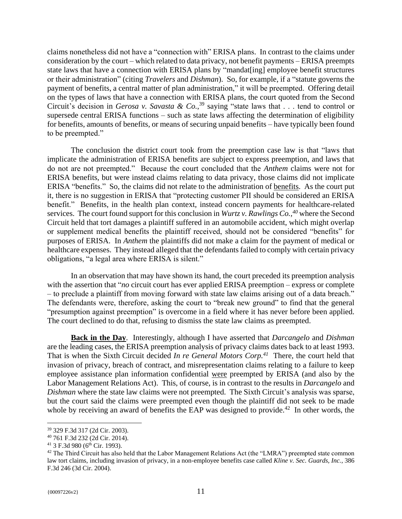claims nonetheless did not have a "connection with" ERISA plans. In contrast to the claims under consideration by the court – which related to data privacy, not benefit payments – ERISA preempts state laws that have a connection with ERISA plans by "mandat[ing] employee benefit structures or their administration" (citing *Travelers* and *Dishman*). So, for example, if a "statute governs the payment of benefits, a central matter of plan administration," it will be preempted. Offering detail on the types of laws that have a connection with ERISA plans, the court quoted from the Second Circuit's decision in *Gerosa v. Savasta & Co.*, <sup>39</sup> saying "state laws that . . . tend to control or supersede central ERISA functions – such as state laws affecting the determination of eligibility for benefits, amounts of benefits, or means of securing unpaid benefits – have typically been found to be preempted."

The conclusion the district court took from the preemption case law is that "laws that implicate the administration of ERISA benefits are subject to express preemption, and laws that do not are not preempted." Because the court concluded that the *Anthem* claims were not for ERISA benefits, but were instead claims relating to data privacy, those claims did not implicate ERISA "benefits." So, the claims did not relate to the administration of benefits. As the court put it, there is no suggestion in ERISA that "protecting customer PII should be considered an ERISA benefit." Benefits, in the health plan context, instead concern payments for healthcare-related services. The court found support for this conclusion in *Wurtz v. Rawlings Co.,<sup>40</sup>* where the Second Circuit held that tort damages a plaintiff suffered in an automobile accident, which might overlap or supplement medical benefits the plaintiff received, should not be considered "benefits" for purposes of ERISA. In *Anthem* the plaintiffs did not make a claim for the payment of medical or healthcare expenses. They instead alleged that the defendants failed to comply with certain privacy obligations, "a legal area where ERISA is silent."

In an observation that may have shown its hand, the court preceded its preemption analysis with the assertion that "*no* circuit court has ever applied ERISA preemption – express or complete – to preclude a plaintiff from moving forward with state law claims arising out of a data breach." The defendants were, therefore, asking the court to "break new ground" to find that the general "presumption against preemption" is overcome in a field where it has never before been applied. The court declined to do that, refusing to dismiss the state law claims as preempted.

<span id="page-13-0"></span>**Back in the Day**. Interestingly, although I have asserted that *Darcangelo* and *Dishman* are the leading cases, the ERISA preemption analysis of privacy claims dates back to at least 1993. That is when the Sixth Circuit decided *In re General Motors Corp.<sup>41</sup>* There, the court held that invasion of privacy, breach of contract, and misrepresentation claims relating to a failure to keep employee assistance plan information confidential were preempted by ERISA (and also by the Labor Management Relations Act). This, of course, is in contrast to the results in *Darcangelo* and *Dishman* where the state law claims were not preempted. The Sixth Circuit's analysis was sparse, but the court said the claims were preempted even though the plaintiff did not seek to be made whole by receiving an award of benefits the EAP was designed to provide.<sup>42</sup> In other words, the

<sup>39</sup> 329 F.3d 317 (2d Cir. 2003).

<sup>40</sup> 761 F.3d 232 (2d Cir. 2014).

 $41$  3 F.3d 980 (6<sup>th</sup> Cir. 1993).

<sup>&</sup>lt;sup>42</sup> The Third Circuit has also held that the Labor Management Relations Act (the "LMRA") preempted state common law tort claims, including invasion of privacy, in a non-employee benefits case called *Kline v. Sec. Guards, Inc.*, 386 F.3d 246 (3d Cir. 2004).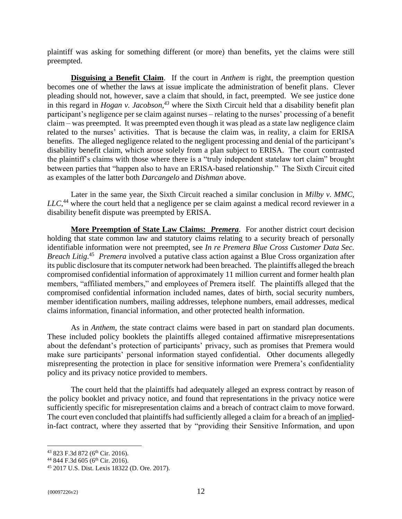plaintiff was asking for something different (or more) than benefits, yet the claims were still preempted.

<span id="page-14-0"></span>**Disguising a Benefit Claim**. If the court in *Anthem* is right, the preemption question becomes one of whether the laws at issue implicate the administration of benefit plans. Clever pleading should not, however, save a claim that should, in fact, preempted. We see justice done in this regard in *Hogan v. Jacobson,<sup>43</sup>* where the Sixth Circuit held that a disability benefit plan participant's negligence per se claim against nurses – relating to the nurses' processing of a benefit claim – was preempted. It was preempted even though it was plead as a state law negligence claim related to the nurses' activities. That is because the claim was, in reality, a claim for ERISA benefits. The alleged negligence related to the negligent processing and denial of the participant's disability benefit claim, which arose solely from a plan subject to ERISA. The court contrasted the plaintiff's claims with those where there is a "truly independent statelaw tort claim" brought between parties that "happen also to have an ERISA-based relationship." The Sixth Circuit cited as examples of the latter both *Darcangelo* and *Dishman* above.

Later in the same year, the Sixth Circuit reached a similar conclusion in *Milby v. MMC, LLC*, <sup>44</sup> where the court held that a negligence per se claim against a medical record reviewer in a disability benefit dispute was preempted by ERISA.

<span id="page-14-1"></span>**More Preemption of State Law Claims:** *Premera*. For another district court decision holding that state common law and statutory claims relating to a security breach of personally identifiable information were not preempted, see *In re Premera Blue Cross Customer Data Sec. Breach Litig*. <sup>45</sup> *Premera* involved a putative class action against a Blue Cross organization after its public disclosure that its computer network had been breached. The plaintiffs alleged the breach compromised confidential information of approximately 11 million current and former health plan members, "affiliated members," and employees of Premera itself. The plaintiffs alleged that the compromised confidential information included names, dates of birth, social security numbers, member identification numbers, mailing addresses, telephone numbers, email addresses, medical claims information, financial information, and other protected health information.

As in *Anthem*, the state contract claims were based in part on standard plan documents. These included policy booklets the plaintiffs alleged contained affirmative misrepresentations about the defendant's protection of participants' privacy, such as promises that Premera would make sure participants' personal information stayed confidential. Other documents allegedly misrepresenting the protection in place for sensitive information were Premera's confidentiality policy and its privacy notice provided to members.

The court held that the plaintiffs had adequately alleged an express contract by reason of the policy booklet and privacy notice, and found that representations in the privacy notice were sufficiently specific for misrepresentation claims and a breach of contract claim to move forward. The court even concluded that plaintiffs had sufficiently alleged a claim for a breach of an impliedin-fact contract, where they asserted that by "providing their Sensitive Information, and upon

<sup>&</sup>lt;sup>43</sup> 823 F.3d 872 (6<sup>th</sup> Cir. 2016).

<sup>&</sup>lt;sup>44</sup> 844 F.3d 605 (6<sup>th</sup> Cir. 2016).

<sup>45</sup> 2017 U.S. Dist. Lexis 18322 (D. Ore. 2017).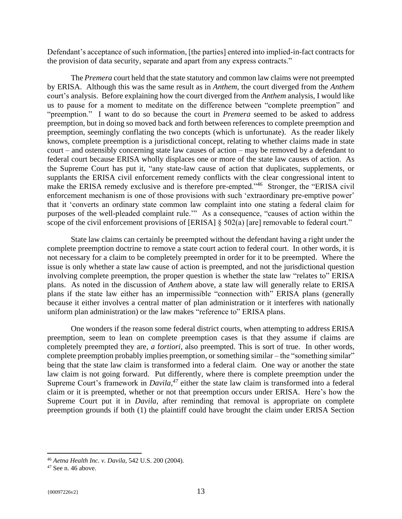Defendant's acceptance of such information, [the parties] entered into implied-in-fact contracts for the provision of data security, separate and apart from any express contracts."

The *Premera* court held that the state statutory and common law claims were not preempted by ERISA. Although this was the same result as in *Anthem*, the court diverged from the *Anthem*  court's analysis. Before explaining how the court diverged from the *Anthem* analysis, I would like us to pause for a moment to meditate on the difference between "complete preemption" and "preemption." I want to do so because the court in *Premera* seemed to be asked to address preemption, but in doing so moved back and forth between references to complete preemption and preemption, seemingly conflating the two concepts (which is unfortunate). As the reader likely knows, complete preemption is a jurisdictional concept, relating to whether claims made in state court – and ostensibly concerning state law causes of action – may be removed by a defendant to federal court because ERISA wholly displaces one or more of the state law causes of action. As the Supreme Court has put it, "any state-law cause of action that duplicates, supplements, or supplants the ERISA civil enforcement remedy conflicts with the clear congressional intent to make the ERISA remedy exclusive and is therefore pre-empted."<sup>46</sup> Stronger, the "ERISA civil" enforcement mechanism is one of those provisions with such 'extraordinary pre-emptive power' that it 'converts an ordinary state common law complaint into one stating a federal claim for purposes of the well-pleaded complaint rule.'" As a consequence, "causes of action within the scope of the civil enforcement provisions of [ERISA] § 502(a) [are] removable to federal court."

State law claims can certainly be preempted without the defendant having a right under the complete preemption doctrine to remove a state court action to federal court. In other words, it is not necessary for a claim to be completely preempted in order for it to be preempted. Where the issue is only whether a state law cause of action is preempted, and not the jurisdictional question involving complete preemption, the proper question is whether the state law "relates to" ERISA plans. As noted in the discussion of *Anthem* above, a state law will generally relate to ERISA plans if the state law either has an impermissible "connection with" ERISA plans (generally because it either involves a central matter of plan administration or it interferes with nationally uniform plan administration) or the law makes "reference to" ERISA plans.

One wonders if the reason some federal district courts, when attempting to address ERISA preemption, seem to lean on complete preemption cases is that they assume if claims are completely preempted they are, *a* f*ortiori*, also preempted. This is sort of true. In other words, complete preemption probably implies preemption, or something similar – the "something similar" being that the state law claim is transformed into a federal claim. One way or another the state law claim is not going forward. Put differently, where there is complete preemption under the Supreme Court's framework in *Davila,<sup>47</sup>* either the state law claim is transformed into a federal claim or it is preempted, whether or not that preemption occurs under ERISA. Here's how the Supreme Court put it in *Davila*, after reminding that removal is appropriate on complete preemption grounds if both (1) the plaintiff could have brought the claim under ERISA Section

<sup>46</sup> *Aetna Health Inc. v. Davila*, 542 U.S. 200 (2004).

<sup>47</sup> See n. 46 above.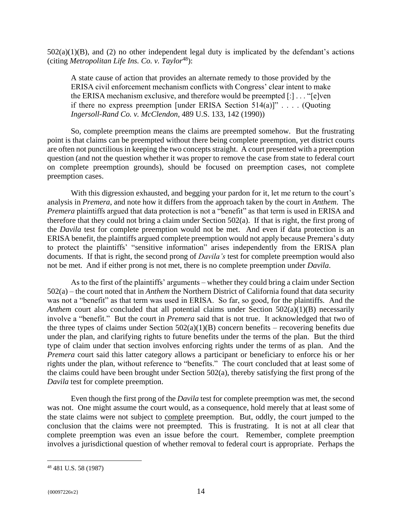$502(a)(1)(B)$ , and (2) no other independent legal duty is implicated by the defendant's actions (citing *Metropolitan Life Ins. Co. v. Taylor*<sup>48</sup>):

A state cause of action that provides an alternate remedy to those provided by the ERISA civil enforcement mechanism conflicts with Congress' clear intent to make the ERISA mechanism exclusive, and therefore would be preempted [:] . . . "[e]ven if there no express preemption [under ERISA Section 514(a)]" . . . . (Quoting *Ingersoll-Rand Co. v. McClendon*, 489 U.S. 133, 142 (1990))

So, complete preemption means the claims are preempted somehow. But the frustrating point is that claims can be preempted without there being complete preemption, yet district courts are often not punctilious in keeping the two concepts straight. A court presented with a preemption question (and not the question whether it was proper to remove the case from state to federal court on complete preemption grounds), should be focused on preemption cases, not complete preemption cases.

With this digression exhausted, and begging your pardon for it, let me return to the court's analysis in *Premera*, and note how it differs from the approach taken by the court in *Anthem*. The *Premera* plaintiffs argued that data protection is not a "benefit" as that term is used in ERISA and therefore that they could not bring a claim under Section 502(a). If that is right, the first prong of the *Davila* test for complete preemption would not be met. And even if data protection is an ERISA benefit, the plaintiffs argued complete preemption would not apply because Premera's duty to protect the plaintiffs' "sensitive information" arises independently from the ERISA plan documents. If that is right, the second prong of *Davila's* test for complete preemption would also not be met. And if either prong is not met, there is no complete preemption under *Davila*.

As to the first of the plaintiffs' arguments – whether they could bring a claim under Section 502(a) – the court noted that in *Anthem* the Northern District of California found that data security was not a "benefit" as that term was used in ERISA. So far, so good, for the plaintiffs. And the *Anthem* court also concluded that all potential claims under Section 502(a)(1)(B) necessarily involve a "benefit." But the court in *Premera* said that is not true. It acknowledged that two of the three types of claims under Section  $502(a)(1)(B)$  concern benefits – recovering benefits due under the plan, and clarifying rights to future benefits under the terms of the plan. But the third type of claim under that section involves enforcing rights under the terms of as plan. And the *Premera* court said this latter category allows a participant or beneficiary to enforce his or her rights under the plan, without reference to "benefits." The court concluded that at least some of the claims could have been brought under Section 502(a), thereby satisfying the first prong of the *Davila* test for complete preemption.

Even though the first prong of the *Davila* test for complete preemption was met, the second was not. One might assume the court would, as a consequence, hold merely that at least some of the state claims were not subject to complete preemption. But, oddly, the court jumped to the conclusion that the claims were not preempted. This is frustrating. It is not at all clear that complete preemption was even an issue before the court. Remember, complete preemption involves a jurisdictional question of whether removal to federal court is appropriate. Perhaps the

<sup>48</sup> 481 U.S. 58 (1987)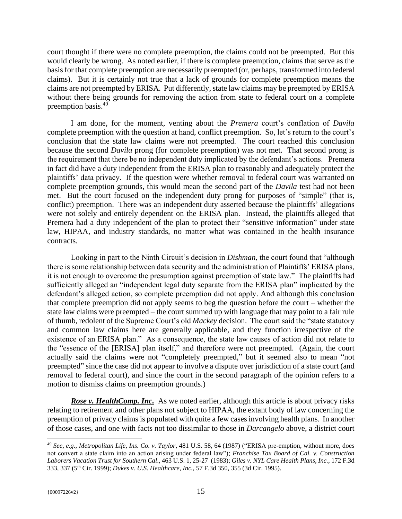court thought if there were no complete preemption, the claims could not be preempted. But this would clearly be wrong. As noted earlier, if there is complete preemption, claims that serve as the basis for that complete preemption are necessarily preempted (or, perhaps, transformed into federal claims). But it is certainly not true that a lack of grounds for complete preemption means the claims are not preempted by ERISA. Put differently, state law claims may be preempted by ERISA without there being grounds for removing the action from state to federal court on a complete preemption basis.<sup>49</sup>

I am done, for the moment, venting about the *Premera* court's conflation of *Davila* complete preemption with the question at hand, conflict preemption. So, let's return to the court's conclusion that the state law claims were not preempted. The court reached this conclusion because the second *Davila* prong (for complete preemption) was not met. That second prong is the requirement that there be no independent duty implicated by the defendant's actions. Premera in fact did have a duty independent from the ERISA plan to reasonably and adequately protect the plaintiffs' data privacy. If the question were whether removal to federal court was warranted on complete preemption grounds, this would mean the second part of the *Davila* test had not been met. But the court focused on the independent duty prong for purposes of "simple" (that is, conflict) preemption. There was an independent duty asserted because the plaintiffs' allegations were not solely and entirely dependent on the ERISA plan. Instead, the plaintiffs alleged that Premera had a duty independent of the plan to protect their "sensitive information" under state law, HIPAA, and industry standards, no matter what was contained in the health insurance contracts.

Looking in part to the Ninth Circuit's decision in *Dishman*, the court found that "although there is some relationship between data security and the administration of Plaintiffs' ERISA plans, it is not enough to overcome the presumption against preemption of state law." The plaintiffs had sufficiently alleged an "independent legal duty separate from the ERISA plan" implicated by the defendant's alleged action, so complete preemption did not apply. And although this conclusion that complete preemption did not apply seems to beg the question before the court – whether the state law claims were preempted – the court summed up with language that may point to a fair rule of thumb, redolent of the Supreme Court's old *Mackey* decision. The court said the "state statutory and common law claims here are generally applicable, and they function irrespective of the existence of an ERISA plan." As a consequence, the state law causes of action did not relate to the "essence of the [ERISA] plan itself," and therefore were not preempted. (Again, the court actually said the claims were not "completely preempted," but it seemed also to mean "not preempted" since the case did not appear to involve a dispute over jurisdiction of a state court (and removal to federal court), and since the court in the second paragraph of the opinion refers to a motion to dismiss claims on preemption grounds.)

<span id="page-17-0"></span>**Rose v. HealthComp. Inc.** As we noted earlier, although this article is about privacy risks relating to retirement and other plans not subject to HIPAA, the extant body of law concerning the preemption of privacy claims is populated with quite a few cases involving health plans. In another of those cases, and one with facts not too dissimilar to those in *Darcangelo* above, a district court

<sup>49</sup> *See, e.g., Metropolitan Life, Ins. Co. v. Taylor*, 481 U.S. 58, 64 (1987) ("ERISA pre-emption, without more, does not convert a state claim into an action arising under federal law"); *Franchise Tax Board of Cal. v. Construction Laborers Vacation Trust for Southern Cal*., 463 U.S. 1, 25-27 (1983); *Giles v. NYL Care Health Plans, Inc.*, 172 F.3d 333, 337 (5th Cir. 1999); *Dukes v. U.S. Healthcare, Inc.*, 57 F.3d 350, 355 (3d Cir. 1995).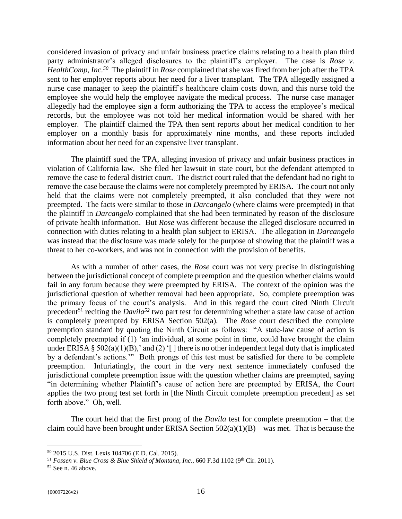considered invasion of privacy and unfair business practice claims relating to a health plan third party administrator's alleged disclosures to the plaintiff's employer. The case is *Rose v. HealthComp, Inc.<sup>50</sup>* The plaintiff in *Rose* complained that she was fired from her job after the TPA sent to her employer reports about her need for a liver transplant. The TPA allegedly assigned a nurse case manager to keep the plaintiff's healthcare claim costs down, and this nurse told the employee she would help the employee navigate the medical process. The nurse case manager allegedly had the employee sign a form authorizing the TPA to access the employee's medical records, but the employee was not told her medical information would be shared with her employer. The plaintiff claimed the TPA then sent reports about her medical condition to her employer on a monthly basis for approximately nine months, and these reports included information about her need for an expensive liver transplant.

The plaintiff sued the TPA, alleging invasion of privacy and unfair business practices in violation of California law. She filed her lawsuit in state court, but the defendant attempted to remove the case to federal district court. The district court ruled that the defendant had no right to remove the case because the claims were not completely preempted by ERISA. The court not only held that the claims were not completely preempted, it also concluded that they were not preempted. The facts were similar to those in *Darcangelo* (where claims were preempted) in that the plaintiff in *Darcangelo* complained that she had been terminated by reason of the disclosure of private health information. But *Rose* was different because the alleged disclosure occurred in connection with duties relating to a health plan subject to ERISA. The allegation in *Darcangelo* was instead that the disclosure was made solely for the purpose of showing that the plaintiff was a threat to her co-workers, and was not in connection with the provision of benefits.

As with a number of other cases, the *Rose* court was not very precise in distinguishing between the jurisdictional concept of complete preemption and the question whether claims would fail in any forum because they were preempted by ERISA. The context of the opinion was the jurisdictional question of whether removal had been appropriate. So, complete preemption was the primary focus of the court's analysis. And in this regard the court cited Ninth Circuit precedent<sup>51</sup> reciting the *Davila*<sup>52</sup> two part test for determining whether a state law cause of action is completely preempted by ERISA Section 502(a)*.* The *Rose* court described the complete preemption standard by quoting the Ninth Circuit as follows: "A state-law cause of action is completely preempted if (1) 'an individual, at some point in time, could have brought the claim under ERISA §  $502(a)(1)(B)$ , and (2) '[] there is no other independent legal duty that is implicated by a defendant's actions.'" Both prongs of this test must be satisfied for there to be complete preemption. Infuriatingly, the court in the very next sentence immediately confused the jurisdictional complete preemption issue with the question whether claims are preempted, saying "in determining whether Plaintiff's cause of action here are preempted by ERISA, the Court applies the two prong test set forth in [the Ninth Circuit complete preemption precedent] as set forth above." Oh, well.

The court held that the first prong of the *Davila* test for complete preemption – that the claim could have been brought under ERISA Section  $502(a)(1)(B)$  – was met. That is because the

<sup>50</sup> 2015 U.S. Dist. Lexis 104706 (E.D. Cal. 2015).

<sup>&</sup>lt;sup>51</sup> *Fossen v. Blue Cross & Blue Shield of Montana, Inc., 660 F.3d 1102 (9<sup>th</sup> Cir. 2011).* 

 $52$  See n. 46 above.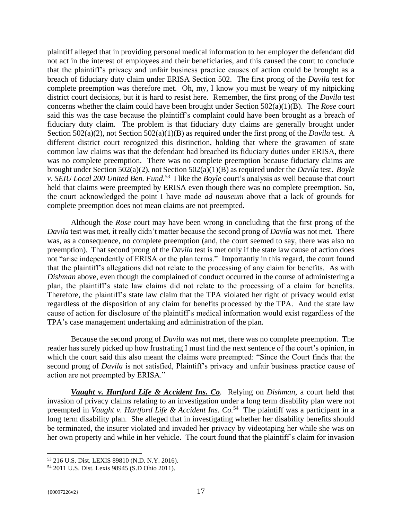plaintiff alleged that in providing personal medical information to her employer the defendant did not act in the interest of employees and their beneficiaries, and this caused the court to conclude that the plaintiff's privacy and unfair business practice causes of action could be brought as a breach of fiduciary duty claim under ERISA Section 502. The first prong of the *Davila* test for complete preemption was therefore met. Oh, my, I know you must be weary of my nitpicking district court decisions, but it is hard to resist here. Remember, the first prong of the *Davila* test concerns whether the claim could have been brought under Section 502(a)(1)(B). The *Rose* court said this was the case because the plaintiff's complaint could have been brought as a breach of fiduciary duty claim. The problem is that fiduciary duty claims are generally brought under Section 502(a)(2), not Section 502(a)(1)(B) as required under the first prong of the *Davila* test. A different district court recognized this distinction, holding that where the gravamen of state common law claims was that the defendant had breached its fiduciary duties under ERISA, there was no complete preemption. There was no complete preemption because fiduciary claims are brought under Section 502(a)(2), not Section 502(a)(1)(B) as required under the *Davila* test. *Boyle v. SEIU Local 200 United Ben. Fund.*<sup>53</sup> I like the *Boyle* court's analysis as well because that court held that claims were preempted by ERISA even though there was no complete preemption. So, the court acknowledged the point I have made *ad nauseum* above that a lack of grounds for complete preemption does not mean claims are not preempted.

Although the *Rose* court may have been wrong in concluding that the first prong of the *Davila* test was met, it really didn't matter because the second prong of *Davila* was not met. There was, as a consequence, no complete preemption (and, the court seemed to say, there was also no preemption). That second prong of the *Davila* test is met only if the state law cause of action does not "arise independently of ERISA or the plan terms." Importantly in this regard, the court found that the plaintiff's allegations did not relate to the processing of any claim for benefits. As with *Dishman* above, even though the complained of conduct occurred in the course of administering a plan, the plaintiff's state law claims did not relate to the processing of a claim for benefits. Therefore, the plaintiff's state law claim that the TPA violated her right of privacy would exist regardless of the disposition of any claim for benefits processed by the TPA. And the state law cause of action for disclosure of the plaintiff's medical information would exist regardless of the TPA's case management undertaking and administration of the plan.

Because the second prong of *Davila* was not met, there was no complete preemption. The reader has surely picked up how frustrating I must find the next sentence of the court's opinion, in which the court said this also meant the claims were preempted: "Since the Court finds that the second prong of *Davila* is not satisfied, Plaintiff's privacy and unfair business practice cause of action are not preempted by ERISA."

<span id="page-19-0"></span>*Vaught v. Hartford Life & Accident Ins. Co.* Relying on *Dishman*, a court held that invasion of privacy claims relating to an investigation under a long term disability plan were not preempted in *Vaught v. Hartford Life & Accident Ins. Co.*<sup>54</sup> The plaintiff was a participant in a long term disability plan. She alleged that in investigating whether her disability benefits should be terminated, the insurer violated and invaded her privacy by videotaping her while she was on her own property and while in her vehicle. The court found that the plaintiff's claim for invasion

<sup>53</sup> 216 U.S. Dist. LEXIS 89810 (N.D. N.Y. 2016).

<sup>54</sup> 2011 U.S. Dist. Lexis 98945 (S.D Ohio 2011).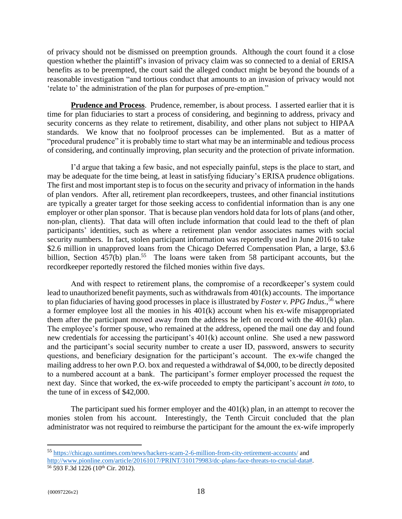of privacy should not be dismissed on preemption grounds. Although the court found it a close question whether the plaintiff's invasion of privacy claim was so connected to a denial of ERISA benefits as to be preempted, the court said the alleged conduct might be beyond the bounds of a reasonable investigation "and tortious conduct that amounts to an invasion of privacy would not 'relate to' the administration of the plan for purposes of pre-emption."

<span id="page-20-0"></span>**Prudence and Process.** Prudence, remember, is about process. I asserted earlier that it is time for plan fiduciaries to start a process of considering, and beginning to address, privacy and security concerns as they relate to retirement, disability, and other plans not subject to HIPAA standards. We know that no foolproof processes can be implemented. But as a matter of "procedural prudence" it is probably time to start what may be an interminable and tedious process of considering, and continually improving, plan security and the protection of private information.

I'd argue that taking a few basic, and not especially painful, steps is the place to start, and may be adequate for the time being, at least in satisfying fiduciary's ERISA prudence obligations. The first and most important step is to focus on the security and privacy of information in the hands of plan vendors. After all, retirement plan recordkeepers, trustees, and other financial institutions are typically a greater target for those seeking access to confidential information than is any one employer or other plan sponsor. That is because plan vendors hold data for lots of plans (and other, non-plan, clients). That data will often include information that could lead to the theft of plan participants' identities, such as where a retirement plan vendor associates names with social security numbers. In fact, stolen participant information was reportedly used in June 2016 to take \$2.6 million in unapproved loans from the Chicago Deferred Compensation Plan, a large, \$3.6 billion, Section 457(b) plan.<sup>55</sup> The loans were taken from 58 participant accounts, but the recordkeeper reportedly restored the filched monies within five days.

And with respect to retirement plans, the compromise of a recordkeeper's system could lead to unauthorized benefit payments, such as withdrawals from 401(k) accounts. The importance to plan fiduciaries of having good processes in place is illustrated by *Foster v. PPG Indus.,*<sup>56</sup> where a former employee lost all the monies in his 401(k) account when his ex-wife misappropriated them after the participant moved away from the address he left on record with the 401(k) plan. The employee's former spouse, who remained at the address, opened the mail one day and found new credentials for accessing the participant's 401(k) account online. She used a new password and the participant's social security number to create a user ID, password, answers to security questions, and beneficiary designation for the participant's account. The ex-wife changed the mailing address to her own P.O. box and requested a withdrawal of \$4,000, to be directly deposited to a numbered account at a bank. The participant's former employer processed the request the next day. Since that worked, the ex-wife proceeded to empty the participant's account *in toto*, to the tune of in excess of \$42,000.

The participant sued his former employer and the 401(k) plan, in an attempt to recover the monies stolen from his account. Interestingly, the Tenth Circuit concluded that the plan administrator was not required to reimburse the participant for the amount the ex-wife improperly

<sup>55</sup> <https://chicago.suntimes.com/news/hackers-scam-2-6-million-from-city-retirement-accounts/> and [http://www.pionline.com/article/20161017/PRINT/310179983/dc-plans-face-threats-to-crucial-data#.](http://www.pionline.com/article/20161017/PRINT/310179983/dc-plans-face-threats-to-crucial-data) 56 593 F.3d 1226 (10<sup>th</sup> Cir. 2012).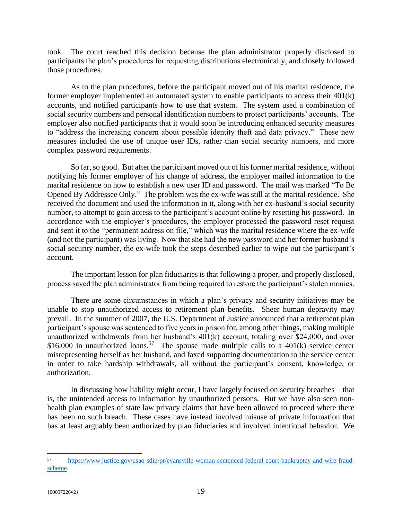took. The court reached this decision because the plan administrator properly disclosed to participants the plan's procedures for requesting distributions electronically, and closely followed those procedures.

As to the plan procedures, before the participant moved out of his marital residence, the former employer implemented an automated system to enable participants to access their 401(k) accounts, and notified participants how to use that system. The system used a combination of social security numbers and personal identification numbers to protect participants' accounts. The employer also notified participants that it would soon be introducing enhanced security measures to "address the increasing concern about possible identity theft and data privacy." These new measures included the use of unique user IDs, rather than social security numbers, and more complex password requirements.

So far, so good. But after the participant moved out of his former marital residence, without notifying his former employer of his change of address, the employer mailed information to the marital residence on how to establish a new user ID and password. The mail was marked "To Be Opened By Addressee Only." The problem was the ex-wife was still at the marital residence. She received the document and used the information in it, along with her ex-husband's social security number, to attempt to gain access to the participant's account online by resetting his password. In accordance with the employer's procedures, the employer processed the password reset request and sent it to the "permanent address on file," which was the marital residence where the ex-wife (and not the participant) was living. Now that she had the new password and her former husband's social security number, the ex-wife took the steps described earlier to wipe out the participant's account.

The important lesson for plan fiduciaries is that following a proper, and properly disclosed, process saved the plan administrator from being required to restore the participant's stolen monies.

There are some circumstances in which a plan's privacy and security initiatives may be unable to stop unauthorized access to retirement plan benefits. Sheer human depravity may prevail. In the summer of 2007, the U.S. Department of Justice announced that a retirement plan participant's spouse was sentenced to five years in prison for, among other things, making multiple unauthorized withdrawals from her husband's 401(k) account, totaling over \$24,000, and over \$16,000 in unauthorized loans.<sup>57</sup> The spouse made multiple calls to a  $401(k)$  service center misrepresenting herself as her husband, and faxed supporting documentation to the service center in order to take hardship withdrawals, all without the participant's consent, knowledge, or authorization.

In discussing how liability might occur, I have largely focused on security breaches – that is, the unintended access to information by unauthorized persons. But we have also seen nonhealth plan examples of state law privacy claims that have been allowed to proceed where there has been no such breach. These cases have instead involved misuse of private information that has at least arguably been authorized by plan fiduciaries and involved intentional behavior. We

<sup>57</sup> <sup>57</sup> [https://www.justice.gov/usao-sdin/pr/evansville-woman-sentenced-federal-court-bankruptcy-and-wire-fraud](https://www.justice.gov/usao-sdin/pr/evansville-woman-sentenced-federal-court-bankruptcy-and-wire-fraud-scheme)[scheme.](https://www.justice.gov/usao-sdin/pr/evansville-woman-sentenced-federal-court-bankruptcy-and-wire-fraud-scheme)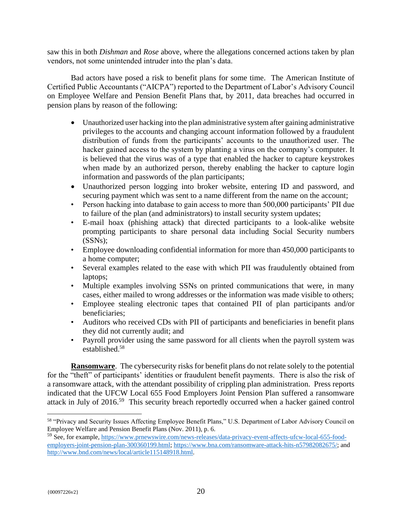saw this in both *Dishman* and *Rose* above, where the allegations concerned actions taken by plan vendors, not some unintended intruder into the plan's data.

Bad actors have posed a risk to benefit plans for some time. The American Institute of Certified Public Accountants ("AICPA") reported to the Department of Labor's Advisory Council on Employee Welfare and Pension Benefit Plans that, by 2011, data breaches had occurred in pension plans by reason of the following:

- Unauthorized user hacking into the plan administrative system after gaining administrative privileges to the accounts and changing account information followed by a fraudulent distribution of funds from the participants' accounts to the unauthorized user. The hacker gained access to the system by planting a virus on the company's computer. It is believed that the virus was of a type that enabled the hacker to capture keystrokes when made by an authorized person, thereby enabling the hacker to capture login information and passwords of the plan participants;
- Unauthorized person logging into broker website, entering ID and password, and securing payment which was sent to a name different from the name on the account;
- Person hacking into database to gain access to more than 500,000 participants' PII due to failure of the plan (and administrators) to install security system updates;
- E-mail hoax (phishing attack) that directed participants to a look-alike website prompting participants to share personal data including Social Security numbers (SSNs);
- Employee downloading confidential information for more than 450,000 participants to a home computer;
- Several examples related to the ease with which PII was fraudulently obtained from laptops;
- Multiple examples involving SSNs on printed communications that were, in many cases, either mailed to wrong addresses or the information was made visible to others;
- Employee stealing electronic tapes that contained PII of plan participants and/or beneficiaries;
- Auditors who received CDs with PII of participants and beneficiaries in benefit plans they did not currently audit; and
- <span id="page-22-0"></span>• Payroll provider using the same password for all clients when the payroll system was established. 58

**Ransomware**. The cybersecurity risks for benefit plans do not relate solely to the potential for the "theft" of participants' identities or fraudulent benefit payments. There is also the risk of a ransomware attack, with the attendant possibility of crippling plan administration. Press reports indicated that the UFCW Local 655 Food Employers Joint Pension Plan suffered a ransomware attack in July of 2016.<sup>59</sup> This security breach reportedly occurred when a hacker gained control

<sup>58</sup> "Privacy and Security Issues Affecting Employee Benefit Plans," U.S. Department of Labor Advisory Council on Employee Welfare and Pension Benefit Plans (Nov. 2011), p. 6.

<sup>59</sup> See, for example, [https://www.prnewswire.com/news-releases/data-privacy-event-affects-ufcw-local-655-food](https://www.prnewswire.com/news-releases/data-privacy-event-affects-ufcw-local-655-food-employers-joint-pension-plan-300360199.html)[employers-joint-pension-plan-300360199.html;](https://www.prnewswire.com/news-releases/data-privacy-event-affects-ufcw-local-655-food-employers-joint-pension-plan-300360199.html) [https://www.bna.com/ransomware-attack-hits-n57982082675/;](https://www.bna.com/ransomware-attack-hits-n57982082675/) and [http://www.bnd.com/news/local/article115148918.html.](http://www.bnd.com/news/local/article115148918.html)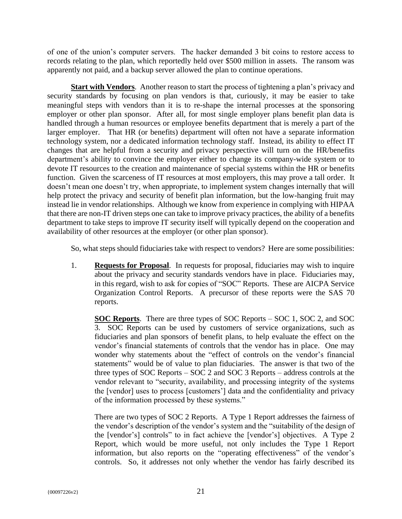of one of the union's computer servers. The hacker demanded 3 bit coins to restore access to records relating to the plan, which reportedly held over \$500 million in assets. The ransom was apparently not paid, and a backup server allowed the plan to continue operations.

<span id="page-23-0"></span>**Start with Vendors**. Another reason to start the process of tightening a plan's privacy and security standards by focusing on plan vendors is that, curiously, it may be easier to take meaningful steps with vendors than it is to re-shape the internal processes at the sponsoring employer or other plan sponsor. After all, for most single employer plans benefit plan data is handled through a human resources or employee benefits department that is merely a part of the larger employer. That HR (or benefits) department will often not have a separate information technology system, nor a dedicated information technology staff. Instead, its ability to effect IT changes that are helpful from a security and privacy perspective will turn on the HR/benefits department's ability to convince the employer either to change its company-wide system or to devote IT resources to the creation and maintenance of special systems within the HR or benefits function. Given the scarceness of IT resources at most employers, this may prove a tall order. It doesn't mean one doesn't try, when appropriate, to implement system changes internally that will help protect the privacy and security of benefit plan information, but the low-hanging fruit may instead lie in vendor relationships. Although we know from experience in complying with HIPAA that there are non-IT driven steps one can take to improve privacy practices, the ability of a benefits department to take steps to improve IT security itself will typically depend on the cooperation and availability of other resources at the employer (or other plan sponsor).

So, what steps should fiduciaries take with respect to vendors? Here are some possibilities:

1. **Requests for Proposal**. In requests for proposal, fiduciaries may wish to inquire about the privacy and security standards vendors have in place. Fiduciaries may, in this regard, wish to ask for copies of "SOC" Reports. These are AICPA Service Organization Control Reports. A precursor of these reports were the SAS 70 reports.

<span id="page-23-2"></span><span id="page-23-1"></span>**SOC Reports**. There are three types of SOC Reports – SOC 1, SOC 2, and SOC 3. SOC Reports can be used by customers of service organizations, such as fiduciaries and plan sponsors of benefit plans, to help evaluate the effect on the vendor's financial statements of controls that the vendor has in place. One may wonder why statements about the "effect of controls on the vendor's financial statements" would be of value to plan fiduciaries. The answer is that two of the three types of SOC Reports – SOC 2 and SOC 3 Reports – address controls at the vendor relevant to "security, availability, and processing integrity of the systems the [vendor] uses to process [customers'] data and the confidentiality and privacy of the information processed by these systems."

There are two types of SOC 2 Reports. A Type 1 Report addresses the fairness of the vendor's description of the vendor's system and the "suitability of the design of the [vendor's] controls" to in fact achieve the [vendor's] objectives. A Type 2 Report, which would be more useful, not only includes the Type 1 Report information, but also reports on the "operating effectiveness" of the vendor's controls. So, it addresses not only whether the vendor has fairly described its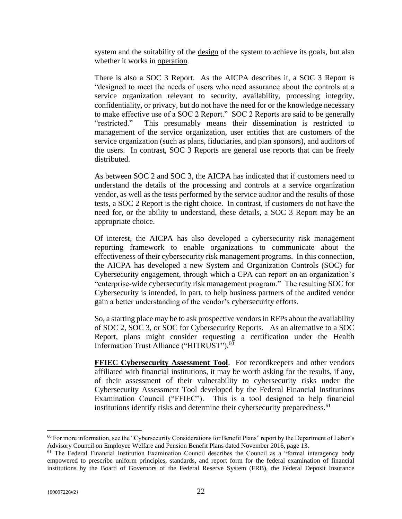system and the suitability of the design of the system to achieve its goals, but also whether it works in operation.

There is also a SOC 3 Report. As the AICPA describes it, a SOC 3 Report is "designed to meet the needs of users who need assurance about the controls at a service organization relevant to security, availability, processing integrity, confidentiality, or privacy, but do not have the need for or the knowledge necessary to make effective use of a SOC 2 Report." SOC 2 Reports are said to be generally "restricted." This presumably means their dissemination is restricted to management of the service organization, user entities that are customers of the service organization (such as plans, fiduciaries, and plan sponsors), and auditors of the users. In contrast, SOC 3 Reports are general use reports that can be freely distributed.

As between SOC 2 and SOC 3, the AICPA has indicated that if customers need to understand the details of the processing and controls at a service organization vendor, as well as the tests performed by the service auditor and the results of those tests, a SOC 2 Report is the right choice. In contrast, if customers do not have the need for, or the ability to understand, these details, a SOC 3 Report may be an appropriate choice.

Of interest, the AICPA has also developed a cybersecurity risk management reporting framework to enable organizations to communicate about the effectiveness of their cybersecurity risk management programs. In this connection, the AICPA has developed a new System and Organization Controls (SOC) for Cybersecurity engagement, through which a CPA can report on an organization's "enterprise-wide cybersecurity risk management program." The resulting SOC for Cybersecurity is intended, in part, to help business partners of the audited vendor gain a better understanding of the vendor's cybersecurity efforts.

So, a starting place may be to ask prospective vendors in RFPs about the availability of SOC 2, SOC 3, or SOC for Cybersecurity Reports. As an alternative to a SOC Report, plans might consider requesting a certification under the Health Information Trust Alliance ("HITRUST"). 60

<span id="page-24-0"></span>**FFIEC Cybersecurity Assessment Tool.** For recordkeepers and other vendors affiliated with financial institutions, it may be worth asking for the results, if any, of their assessment of their vulnerability to cybersecurity risks under the Cybersecurity Assessment Tool developed by the Federal Financial Institutions Examination Council ("FFIEC"). This is a tool designed to help financial institutions identify risks and determine their cybersecurity preparedness.<sup>61</sup>

 $60$  For more information, see the "Cybersecurity Considerations for Benefit Plans" report by the Department of Labor's Advisory Council on Employee Welfare and Pension Benefit Plans dated November 2016, page 13.

<sup>&</sup>lt;sup>61</sup> The Federal Financial Institution Examination Council describes the Council as a "formal interagency body empowered to prescribe uniform principles, standards, and report form for the federal examination of financial institutions by the Board of Governors of the Federal Reserve System (FRB), the Federal Deposit Insurance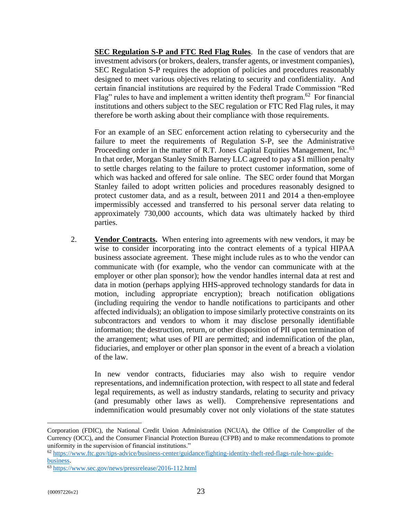<span id="page-25-0"></span>**SEC Regulation S-P and FTC Red Flag Rules**. In the case of vendors that are investment advisors (or brokers, dealers, transfer agents, or investment companies), SEC Regulation S-P requires the adoption of policies and procedures reasonably designed to meet various objectives relating to security and confidentiality. And certain financial institutions are required by the Federal Trade Commission "Red Flag" rules to have and implement a written identity theft program.<sup>62</sup> For financial institutions and others subject to the SEC regulation or FTC Red Flag rules, it may therefore be worth asking about their compliance with those requirements.

For an example of an SEC enforcement action relating to cybersecurity and the failure to meet the requirements of Regulation S-P, see the Administrative Proceeding order in the matter of R.T. Jones Capital Equities Management, Inc.<sup>63</sup> In that order, Morgan Stanley Smith Barney LLC agreed to pay a \$1 million penalty to settle charges relating to the failure to protect customer information, some of which was hacked and offered for sale online. The SEC order found that Morgan Stanley failed to adopt written policies and procedures reasonably designed to protect customer data, and as a result, between 2011 and 2014 a then-employee impermissibly accessed and transferred to his personal server data relating to approximately 730,000 accounts, which data was ultimately hacked by third parties.

<span id="page-25-1"></span>2. **Vendor Contracts.** When entering into agreements with new vendors, it may be wise to consider incorporating into the contract elements of a typical HIPAA business associate agreement. These might include rules as to who the vendor can communicate with (for example, who the vendor can communicate with at the employer or other plan sponsor); how the vendor handles internal data at rest and data in motion (perhaps applying HHS-approved technology standards for data in motion, including appropriate encryption); breach notification obligations (including requiring the vendor to handle notifications to participants and other affected individuals); an obligation to impose similarly protective constraints on its subcontractors and vendors to whom it may disclose personally identifiable information; the destruction, return, or other disposition of PII upon termination of the arrangement; what uses of PII are permitted; and indemnification of the plan, fiduciaries, and employer or other plan sponsor in the event of a breach a violation of the law.

In new vendor contracts, fiduciaries may also wish to require vendor representations, and indemnification protection, with respect to all state and federal legal requirements, as well as industry standards, relating to security and privacy (and presumably other laws as well). Comprehensive representations and indemnification would presumably cover not only violations of the state statutes

Corporation (FDIC), the National Credit Union Administration (NCUA), the Office of the Comptroller of the Currency (OCC), and the Consumer Financial Protection Bureau (CFPB) and to make recommendations to promote uniformity in the supervision of financial institutions."

<sup>62</sup> [https://www.ftc.gov/tips-advice/business-center/guidance/fighting-identity-theft-red-flags-rule-how-guide](https://www.ftc.gov/tips-advice/business-center/guidance/fighting-identity-theft-red-flags-rule-how-guide-business)[business.](https://www.ftc.gov/tips-advice/business-center/guidance/fighting-identity-theft-red-flags-rule-how-guide-business)

<sup>63</sup> <https://www.sec.gov/news/pressrelease/2016-112.html>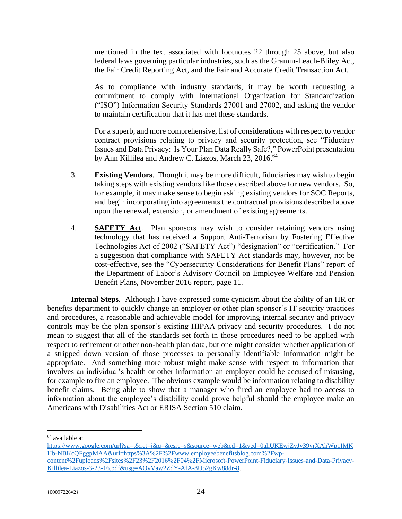mentioned in the text associated with footnotes 22 through 25 above, but also federal laws governing particular industries, such as the Gramm-Leach-Bliley Act, the Fair Credit Reporting Act, and the Fair and Accurate Credit Transaction Act.

As to compliance with industry standards, it may be worth requesting a commitment to comply with International Organization for Standardization ("ISO") Information Security Standards 27001 and 27002, and asking the vendor to maintain certification that it has met these standards.

<span id="page-26-0"></span>For a superb, and more comprehensive, list of considerations with respect to vendor contract provisions relating to privacy and security protection, see "Fiduciary Issues and Data Privacy: Is Your Plan Data Really Safe?," PowerPoint presentation by Ann Killilea and Andrew C. Liazos, March 23, 2016.<sup>64</sup>

- 3. **Existing Vendors**. Though it may be more difficult, fiduciaries may wish to begin taking steps with existing vendors like those described above for new vendors. So, for example, it may make sense to begin asking existing vendors for SOC Reports, and begin incorporating into agreements the contractual provisions described above upon the renewal, extension, or amendment of existing agreements.
- <span id="page-26-1"></span>4. **SAFETY Act**. Plan sponsors may wish to consider retaining vendors using technology that has received a Support Anti-Terrorism by Fostering Effective Technologies Act of 2002 ("SAFETY Act") "designation" or "certification." For a suggestion that compliance with SAFETY Act standards may, however, not be cost-effective, see the "Cybersecurity Considerations for Benefit Plans" report of the Department of Labor's Advisory Council on Employee Welfare and Pension Benefit Plans, November 2016 report, page 11.

<span id="page-26-2"></span>**Internal Steps**. Although I have expressed some cynicism about the ability of an HR or benefits department to quickly change an employer or other plan sponsor's IT security practices and procedures, a reasonable and achievable model for improving internal security and privacy controls may be the plan sponsor's existing HIPAA privacy and security procedures. I do not mean to suggest that all of the standards set forth in those procedures need to be applied with respect to retirement or other non-health plan data, but one might consider whether application of a stripped down version of those processes to personally identifiable information might be appropriate. And something more robust might make sense with respect to information that involves an individual's health or other information an employer could be accused of misusing, for example to fire an employee. The obvious example would be information relating to disability benefit claims. Being able to show that a manager who fired an employee had no access to information about the employee's disability could prove helpful should the employee make an Americans with Disabilities Act or ERISA Section 510 claim.

<sup>64</sup> available at

[https://www.google.com/url?sa=t&rct=j&q=&esrc=s&source=web&cd=1&ved=0ahUKEwjZvJy39vrXAhWp1IMK](https://www.google.com/url?sa=t&rct=j&q=&esrc=s&source=web&cd=1&ved=0ahUKEwjZvJy39vrXAhWp1IMKHb-NBKcQFggpMAA&url=https%3A%2F%2Fwww.employeebenefitsblog.com%2Fwp-content%2Fuploads%2Fsites%2F23%2F2016%2F04%2FMicrosoft-PowerPoint-Fiduciary-Issues-and-Data-Privacy-Killilea-Liazos-3-23-16.pdf&usg=AOvVaw2ZdY-AfA-8U52gKw88dr-8) [Hb-NBKcQFggpMAA&url=https%3A%2F%2Fwww.employeebenefitsblog.com%2Fwp-](https://www.google.com/url?sa=t&rct=j&q=&esrc=s&source=web&cd=1&ved=0ahUKEwjZvJy39vrXAhWp1IMKHb-NBKcQFggpMAA&url=https%3A%2F%2Fwww.employeebenefitsblog.com%2Fwp-content%2Fuploads%2Fsites%2F23%2F2016%2F04%2FMicrosoft-PowerPoint-Fiduciary-Issues-and-Data-Privacy-Killilea-Liazos-3-23-16.pdf&usg=AOvVaw2ZdY-AfA-8U52gKw88dr-8)

[content%2Fuploads%2Fsites%2F23%2F2016%2F04%2FMicrosoft-PowerPoint-Fiduciary-Issues-and-Data-Privacy-](https://www.google.com/url?sa=t&rct=j&q=&esrc=s&source=web&cd=1&ved=0ahUKEwjZvJy39vrXAhWp1IMKHb-NBKcQFggpMAA&url=https%3A%2F%2Fwww.employeebenefitsblog.com%2Fwp-content%2Fuploads%2Fsites%2F23%2F2016%2F04%2FMicrosoft-PowerPoint-Fiduciary-Issues-and-Data-Privacy-Killilea-Liazos-3-23-16.pdf&usg=AOvVaw2ZdY-AfA-8U52gKw88dr-8)[Killilea-Liazos-3-23-16.pdf&usg=AOvVaw2ZdY-AfA-8U52gKw88dr-8.](https://www.google.com/url?sa=t&rct=j&q=&esrc=s&source=web&cd=1&ved=0ahUKEwjZvJy39vrXAhWp1IMKHb-NBKcQFggpMAA&url=https%3A%2F%2Fwww.employeebenefitsblog.com%2Fwp-content%2Fuploads%2Fsites%2F23%2F2016%2F04%2FMicrosoft-PowerPoint-Fiduciary-Issues-and-Data-Privacy-Killilea-Liazos-3-23-16.pdf&usg=AOvVaw2ZdY-AfA-8U52gKw88dr-8)